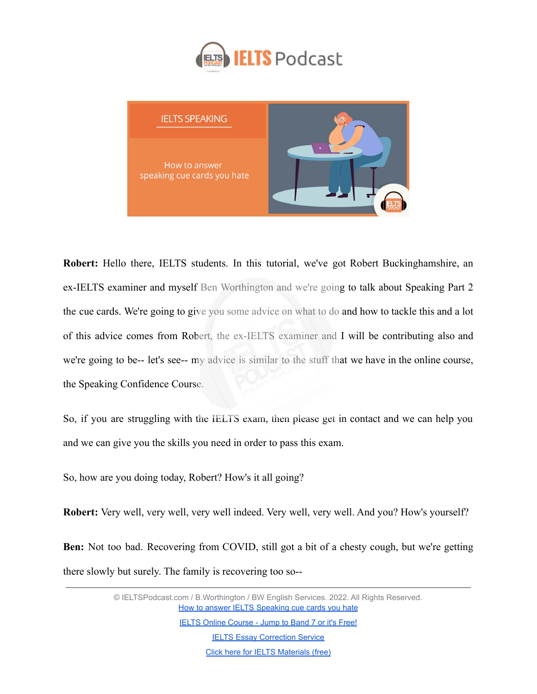



**Robert:** Hello there, IELTS students. In this tutorial, we've got Robert Buckinghamshire, an ex-IELTS examiner and myself Ben Worthington and we're going to talk about Speaking Part 2 the cue cards. We're going to give you some advice on what to do and how to tackle this and a lot of this advice comes from Robert, the ex-IELTS examiner and I will be contributing also and we're going to be-- let's see-- my advice is similar to the stuff that we have in the online course, the Speaking Confidence Course.

So, if you are struggling with the IELTS exam, then please get in contact and we can help you and we can give you the skills you need in order to pass this exam.

So, how are you doing today, Robert? How's it all going?

**Robert:** Very well, very well, very well indeed. Very well, very well. And you? How's yourself?

**Ben:** Not too bad. Recovering from COVID, still got a bit of a chesty cough, but we're getting there slowly but surely. The family is recovering too so--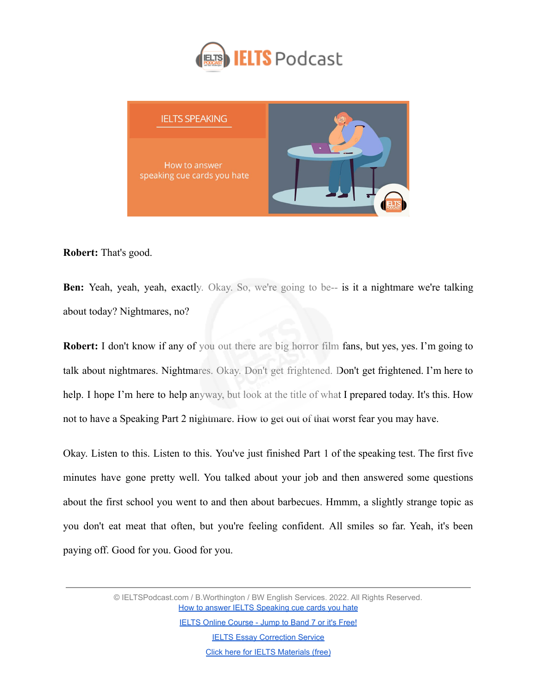



**Robert:** That's good.

**Ben:** Yeah, yeah, yeah, exactly. Okay. So, we're going to be-- is it a nightmare we're talking about today? Nightmares, no?

**Robert:** I don't know if any of you out there are big horror film fans, but yes, yes. I'm going to talk about nightmares. Nightmares. Okay. Don't get frightened. Don't get frightened. I'm here to help. I hope I'm here to help anyway, but look at the title of what I prepared today. It's this. How not to have a Speaking Part 2 nightmare. How to get out of that worst fear you may have.

Okay. Listen to this. Listen to this. You've just finished Part 1 of the speaking test. The first five minutes have gone pretty well. You talked about your job and then answered some questions about the first school you went to and then about barbecues. Hmmm, a slightly strange topic as you don't eat meat that often, but you're feeling confident. All smiles so far. Yeah, it's been paying off. Good for you. Good for you.

> © IELTSPodcast.com / B.Worthington / BW English Services. 2022. All Rights Reserved. [How to answer IELTS Speaking cue cards you hate](https://www.ieltspodcast.com/audio-tutorials/answer-speaking-cue-cards-you-hate/?utm_source=blog_transcript&utm_medium=weekly&utm_term=&utm_content=&utm_campaign=post555)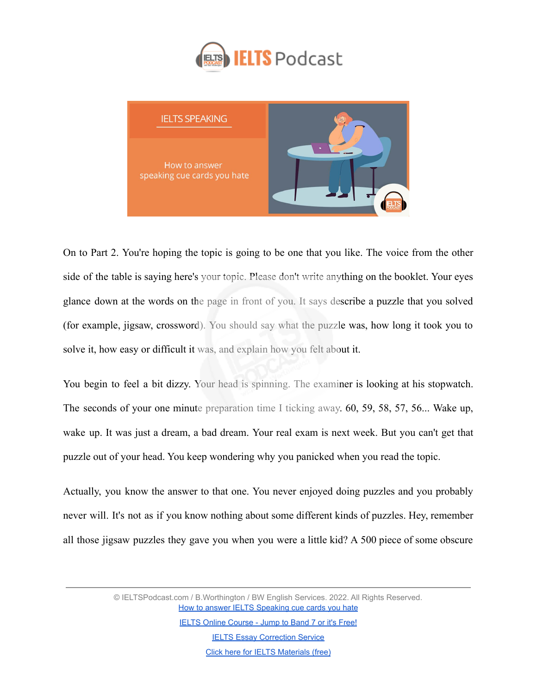



On to Part 2. You're hoping the topic is going to be one that you like. The voice from the other side of the table is saying here's your topic. Please don't write anything on the booklet. Your eyes glance down at the words on the page in front of you. It says describe a puzzle that you solved (for example, jigsaw, crossword). You should say what the puzzle was, how long it took you to solve it, how easy or difficult it was, and explain how you felt about it.

You begin to feel a bit dizzy. Your head is spinning. The examiner is looking at his stopwatch. The seconds of your one minute preparation time I ticking away. 60, 59, 58, 57, 56... Wake up, wake up. It was just a dream, a bad dream. Your real exam is next week. But you can't get that puzzle out of your head. You keep wondering why you panicked when you read the topic.

Actually, you know the answer to that one. You never enjoyed doing puzzles and you probably never will. It's not as if you know nothing about some different kinds of puzzles. Hey, remember all those jigsaw puzzles they gave you when you were a little kid? A 500 piece of some obscure

> © IELTSPodcast.com / B.Worthington / BW English Services. 2022. All Rights Reserved. [How to answer IELTS Speaking cue cards you hate](https://www.ieltspodcast.com/audio-tutorials/answer-speaking-cue-cards-you-hate/?utm_source=blog_transcript&utm_medium=weekly&utm_term=&utm_content=&utm_campaign=post555)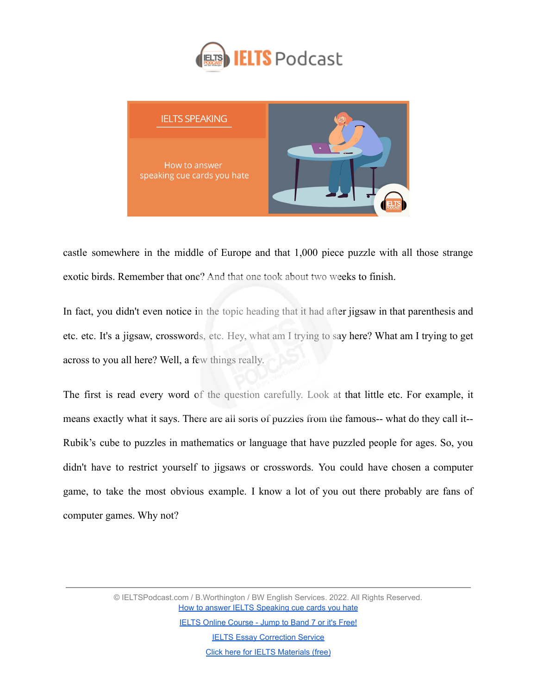



castle somewhere in the middle of Europe and that 1,000 piece puzzle with all those strange exotic birds. Remember that one? And that one took about two weeks to finish.

In fact, you didn't even notice in the topic heading that it had after jigsaw in that parenthesis and etc. etc. It's a jigsaw, crosswords, etc. Hey, what am I trying to say here? What am I trying to get across to you all here? Well, a few things really.

The first is read every word of the question carefully. Look at that little etc. For example, it means exactly what it says. There are all sorts of puzzles from the famous-- what do they call it-- Rubik's cube to puzzles in mathematics or language that have puzzled people for ages. So, you didn't have to restrict yourself to jigsaws or crosswords. You could have chosen a computer game, to take the most obvious example. I know a lot of you out there probably are fans of computer games. Why not?

> © IELTSPodcast.com / B.Worthington / BW English Services. 2022. All Rights Reserved. [How to answer IELTS Speaking cue cards you hate](https://www.ieltspodcast.com/audio-tutorials/answer-speaking-cue-cards-you-hate/?utm_source=blog_transcript&utm_medium=weekly&utm_term=&utm_content=&utm_campaign=post555)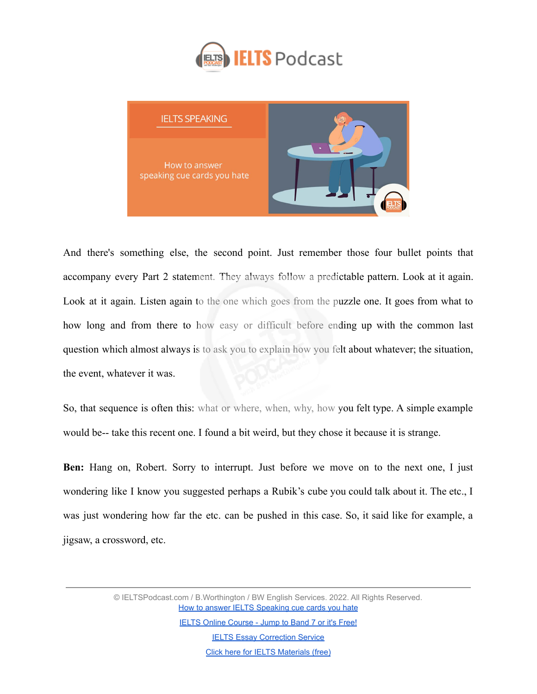



And there's something else, the second point. Just remember those four bullet points that accompany every Part 2 statement. They always follow a predictable pattern. Look at it again. Look at it again. Listen again to the one which goes from the puzzle one. It goes from what to how long and from there to how easy or difficult before ending up with the common last question which almost always is to ask you to explain how you felt about whatever; the situation, the event, whatever it was.

So, that sequence is often this: what or where, when, why, how you felt type. A simple example would be-- take this recent one. I found a bit weird, but they chose it because it is strange.

**Ben:** Hang on, Robert. Sorry to interrupt. Just before we move on to the next one, I just wondering like I know you suggested perhaps a Rubik's cube you could talk about it. The etc., I was just wondering how far the etc. can be pushed in this case. So, it said like for example, a jigsaw, a crossword, etc.

> © IELTSPodcast.com / B.Worthington / BW English Services. 2022. All Rights Reserved. [How to answer IELTS Speaking cue cards you hate](https://www.ieltspodcast.com/audio-tutorials/answer-speaking-cue-cards-you-hate/?utm_source=blog_transcript&utm_medium=weekly&utm_term=&utm_content=&utm_campaign=post555)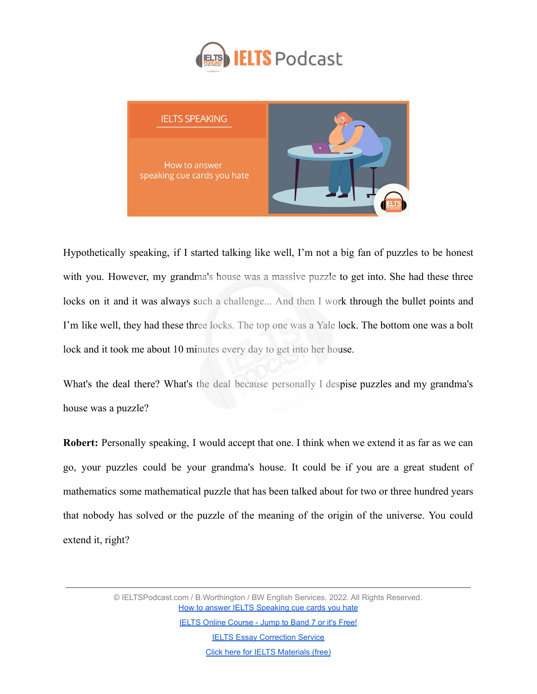



Hypothetically speaking, if I started talking like well, I'm not a big fan of puzzles to be honest with you. However, my grandma's house was a massive puzzle to get into. She had these three locks on it and it was always such a challenge... And then I work through the bullet points and I'm like well, they had these three locks. The top one was a Yale lock. The bottom one was a bolt lock and it took me about 10 minutes every day to get into her house.

What's the deal there? What's the deal because personally I despise puzzles and my grandma's house was a puzzle?

**Robert:** Personally speaking, I would accept that one. I think when we extend it as far as we can go, your puzzles could be your grandma's house. It could be if you are a great student of mathematics some mathematical puzzle that has been talked about for two or three hundred years that nobody has solved or the puzzle of the meaning of the origin of the universe. You could extend it, right?

> © IELTSPodcast.com / B.Worthington / BW English Services. 2022. All Rights Reserved. [How to answer IELTS Speaking cue cards you hate](https://www.ieltspodcast.com/audio-tutorials/answer-speaking-cue-cards-you-hate/?utm_source=blog_transcript&utm_medium=weekly&utm_term=&utm_content=&utm_campaign=post555)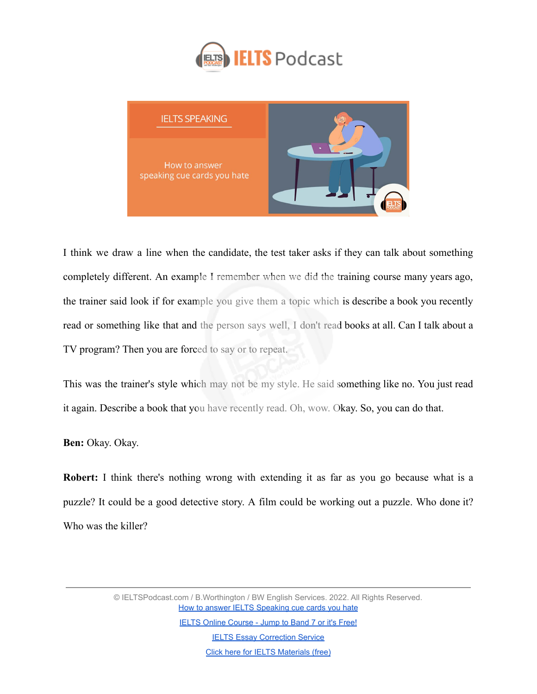



I think we draw a line when the candidate, the test taker asks if they can talk about something completely different. An example I remember when we did the training course many years ago, the trainer said look if for example you give them a topic which is describe a book you recently read or something like that and the person says well, I don't read books at all. Can I talk about a TV program? Then you are forced to say or to repeat.

This was the trainer's style which may not be my style. He said something like no. You just read it again. Describe a book that you have recently read. Oh, wow. Okay. So, you can do that.

**Ben:** Okay. Okay.

**Robert:** I think there's nothing wrong with extending it as far as you go because what is a puzzle? It could be a good detective story. A film could be working out a puzzle. Who done it? Who was the killer?

> © IELTSPodcast.com / B.Worthington / BW English Services. 2022. All Rights Reserved. [How to answer IELTS Speaking cue cards you hate](https://www.ieltspodcast.com/audio-tutorials/answer-speaking-cue-cards-you-hate/?utm_source=blog_transcript&utm_medium=weekly&utm_term=&utm_content=&utm_campaign=post555)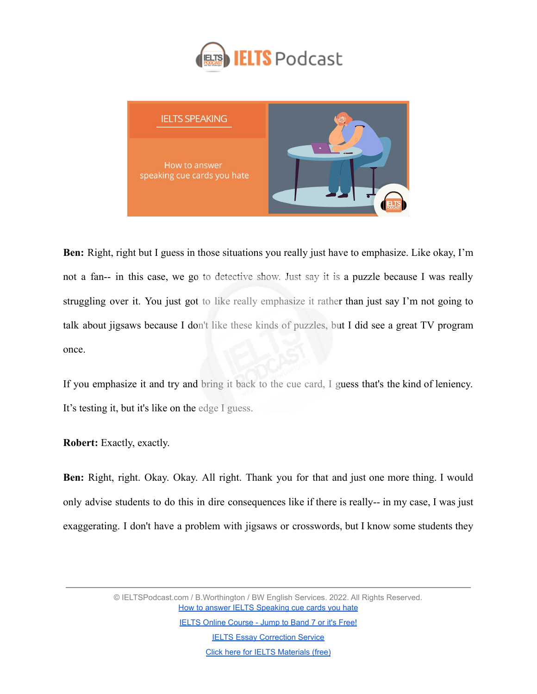



**Ben:** Right, right but I guess in those situations you really just have to emphasize. Like okay, I'm not a fan-- in this case, we go to detective show. Just say it is a puzzle because I was really struggling over it. You just got to like really emphasize it rather than just say I'm not going to talk about jigsaws because I don't like these kinds of puzzles, but I did see a great TV program once.

If you emphasize it and try and bring it back to the cue card, I guess that's the kind of leniency. It's testing it, but it's like on the edge I guess.

**Robert:** Exactly, exactly.

**Ben:** Right, right. Okay. Okay. All right. Thank you for that and just one more thing. I would only advise students to do this in dire consequences like if there is really-- in my case, I was just exaggerating. I don't have a problem with jigsaws or crosswords, but I know some students they

> © IELTSPodcast.com / B.Worthington / BW English Services. 2022. All Rights Reserved. [How to answer IELTS Speaking cue cards you hate](https://www.ieltspodcast.com/audio-tutorials/answer-speaking-cue-cards-you-hate/?utm_source=blog_transcript&utm_medium=weekly&utm_term=&utm_content=&utm_campaign=post555)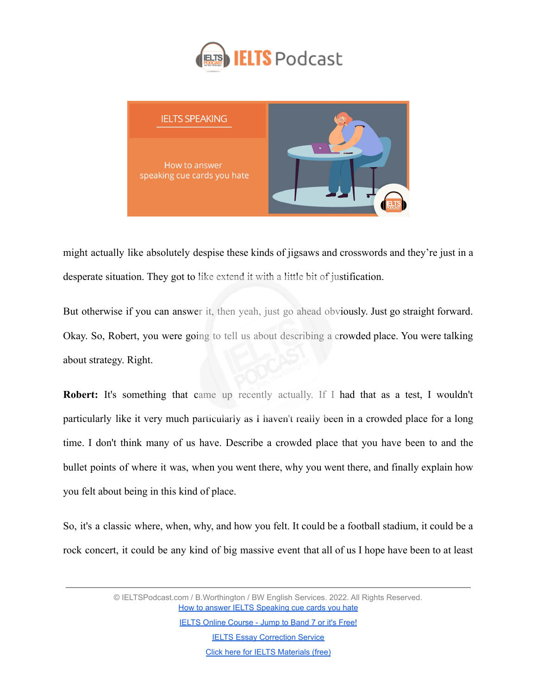



might actually like absolutely despise these kinds of jigsaws and crosswords and they're just in a desperate situation. They got to like extend it with a little bit of justification.

But otherwise if you can answer it, then yeah, just go ahead obviously. Just go straight forward. Okay. So, Robert, you were going to tell us about describing a crowded place. You were talking about strategy. Right.

Robert: It's something that came up recently actually. If I had that as a test, I wouldn't particularly like it very much particularly as I haven't really been in a crowded place for a long time. I don't think many of us have. Describe a crowded place that you have been to and the bullet points of where it was, when you went there, why you went there, and finally explain how you felt about being in this kind of place.

So, it's a classic where, when, why, and how you felt. It could be a football stadium, it could be a rock concert, it could be any kind of big massive event that all of us I hope have been to at least

> © IELTSPodcast.com / B.Worthington / BW English Services. 2022. All Rights Reserved. [How to answer IELTS Speaking cue cards you hate](https://www.ieltspodcast.com/audio-tutorials/answer-speaking-cue-cards-you-hate/?utm_source=blog_transcript&utm_medium=weekly&utm_term=&utm_content=&utm_campaign=post555)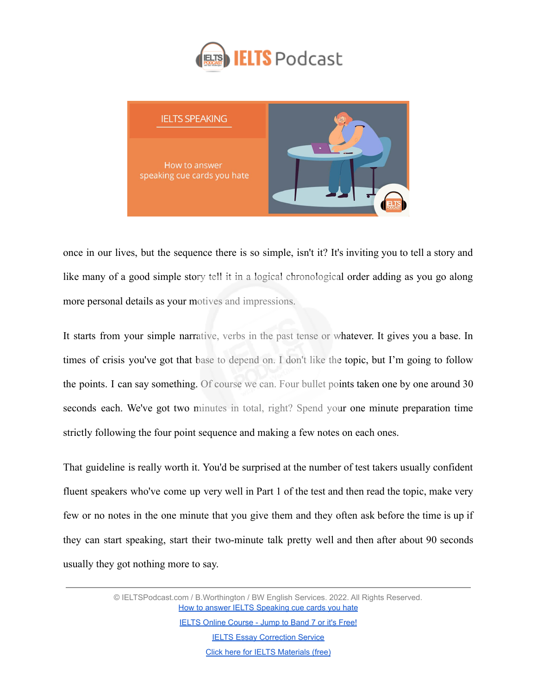



once in our lives, but the sequence there is so simple, isn't it? It's inviting you to tell a story and like many of a good simple story tell it in a logical chronological order adding as you go along more personal details as your motives and impressions.

It starts from your simple narrative, verbs in the past tense or whatever. It gives you a base. In times of crisis you've got that base to depend on. I don't like the topic, but I'm going to follow the points. I can say something. Of course we can. Four bullet points taken one by one around 30 seconds each. We've got two minutes in total, right? Spend your one minute preparation time strictly following the four point sequence and making a few notes on each ones.

That guideline is really worth it. You'd be surprised at the number of test takers usually confident fluent speakers who've come up very well in Part 1 of the test and then read the topic, make very few or no notes in the one minute that you give them and they often ask before the time is up if they can start speaking, start their two-minute talk pretty well and then after about 90 seconds usually they got nothing more to say.

> © IELTSPodcast.com / B.Worthington / BW English Services. 2022. All Rights Reserved. [How to answer IELTS Speaking cue cards you hate](https://www.ieltspodcast.com/audio-tutorials/answer-speaking-cue-cards-you-hate/?utm_source=blog_transcript&utm_medium=weekly&utm_term=&utm_content=&utm_campaign=post555) [IELTS Online Course - Jump to Band 7 or it's Free!](https://www.ieltspodcast.com/online-ielts-course/?utm_source=blog_transcript&utm_medium=weekly&utm_term=&utm_content=&utm_campaign=post555)

> > **[IELTS Essay Correction Service](https://www.ieltspodcast.com/essay-correction-service/?utm_source=blog_transcript&utm_medium=weekly&utm_term=&utm_content=&utm_campaign=post555)**

[Click here for IELTS Materials \(free\)](https://www.ieltspodcast.com/sign/?utm_source=blog_transcript&utm_medium=weekly&utm_term=&utm_content=&utm_campaign=post555)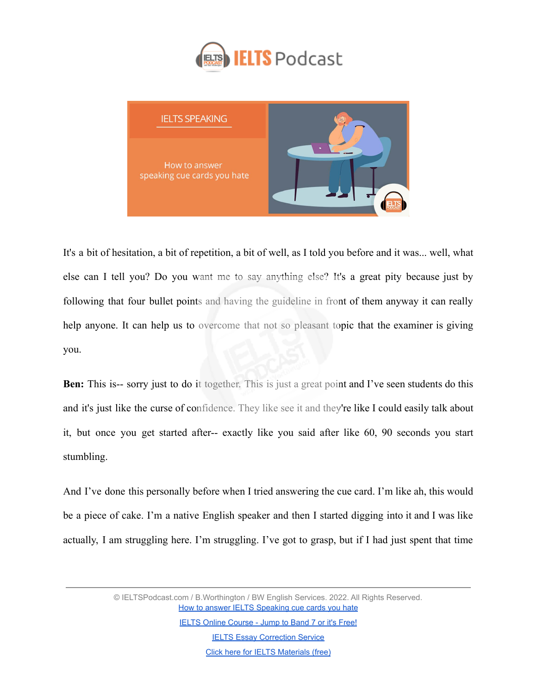



It's a bit of hesitation, a bit of repetition, a bit of well, as I told you before and it was... well, what else can I tell you? Do you want me to say anything else? It's a great pity because just by following that four bullet points and having the guideline in front of them anyway it can really help anyone. It can help us to overcome that not so pleasant topic that the examiner is giving you.

**Ben:** This is-- sorry just to do it together. This is just a great point and I've seen students do this and it's just like the curse of confidence. They like see it and they're like I could easily talk about it, but once you get started after-- exactly like you said after like 60, 90 seconds you start stumbling.

And I've done this personally before when I tried answering the cue card. I'm like ah, this would be a piece of cake. I'm a native English speaker and then I started digging into it and I was like actually, I am struggling here. I'm struggling. I've got to grasp, but if I had just spent that time

> © IELTSPodcast.com / B.Worthington / BW English Services. 2022. All Rights Reserved. [How to answer IELTS Speaking cue cards you hate](https://www.ieltspodcast.com/audio-tutorials/answer-speaking-cue-cards-you-hate/?utm_source=blog_transcript&utm_medium=weekly&utm_term=&utm_content=&utm_campaign=post555)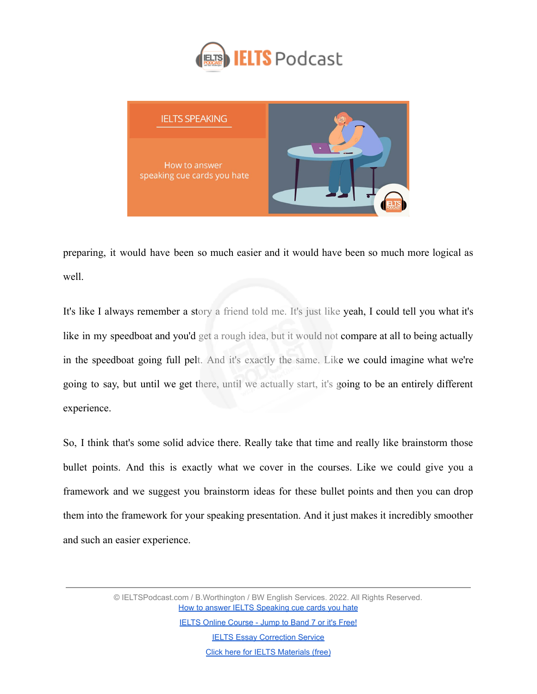



preparing, it would have been so much easier and it would have been so much more logical as well.

It's like I always remember a story a friend told me. It's just like yeah, I could tell you what it's like in my speedboat and you'd get a rough idea, but it would not compare at all to being actually in the speedboat going full pelt. And it's exactly the same. Like we could imagine what we're going to say, but until we get there, until we actually start, it's going to be an entirely different experience.

So, I think that's some solid advice there. Really take that time and really like brainstorm those bullet points. And this is exactly what we cover in the courses. Like we could give you a framework and we suggest you brainstorm ideas for these bullet points and then you can drop them into the framework for your speaking presentation. And it just makes it incredibly smoother and such an easier experience.

> © IELTSPodcast.com / B.Worthington / BW English Services. 2022. All Rights Reserved. [How to answer IELTS Speaking cue cards you hate](https://www.ieltspodcast.com/audio-tutorials/answer-speaking-cue-cards-you-hate/?utm_source=blog_transcript&utm_medium=weekly&utm_term=&utm_content=&utm_campaign=post555)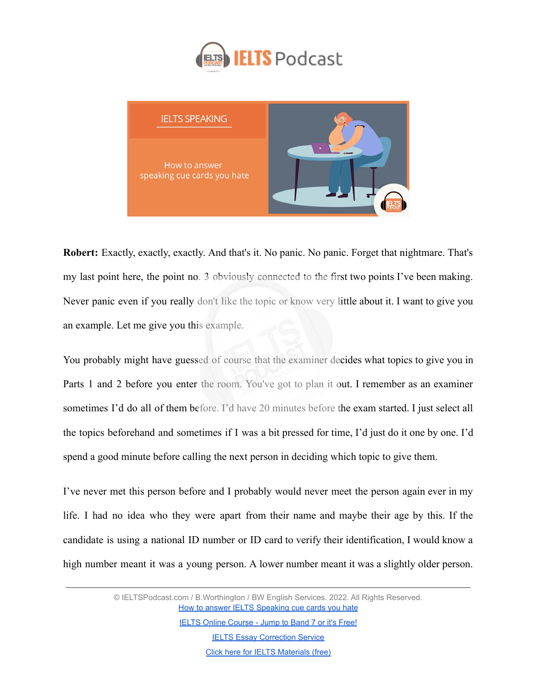



**Robert:** Exactly, exactly, exactly. And that's it. No panic. No panic. Forget that nightmare. That's my last point here, the point no. 3 obviously connected to the first two points I've been making. Never panic even if you really don't like the topic or know very little about it. I want to give you an example. Let me give you this example.

You probably might have guessed of course that the examiner decides what topics to give you in Parts 1 and 2 before you enter the room. You've got to plan it out. I remember as an examiner sometimes I'd do all of them before. I'd have 20 minutes before the exam started. I just select all the topics beforehand and sometimes if I was a bit pressed for time, I'd just do it one by one. I'd spend a good minute before calling the next person in deciding which topic to give them.

I've never met this person before and I probably would never meet the person again ever in my life. I had no idea who they were apart from their name and maybe their age by this. If the candidate is using a national ID number or ID card to verify their identification, I would know a high number meant it was a young person. A lower number meant it was a slightly older person.

> © IELTSPodcast.com / B.Worthington / BW English Services. 2022. All Rights Reserved. [How to answer IELTS Speaking cue cards you hate](https://www.ieltspodcast.com/audio-tutorials/answer-speaking-cue-cards-you-hate/?utm_source=blog_transcript&utm_medium=weekly&utm_term=&utm_content=&utm_campaign=post555)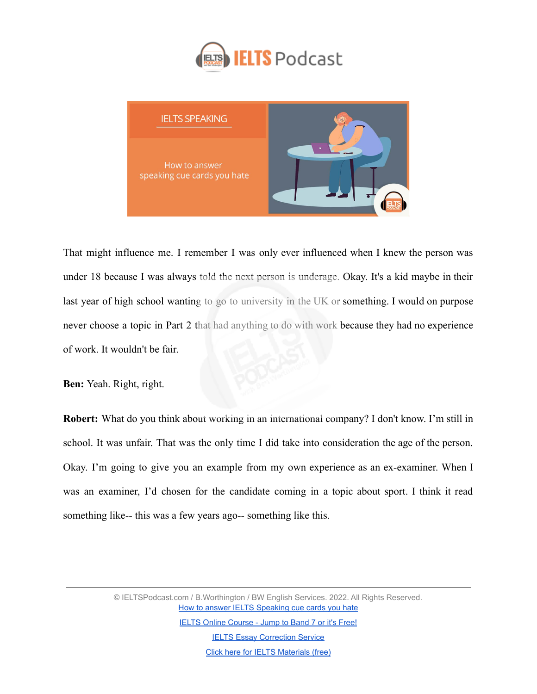



That might influence me. I remember I was only ever influenced when I knew the person was under 18 because I was always told the next person is underage. Okay. It's a kid maybe in their last year of high school wanting to go to university in the UK or something. I would on purpose never choose a topic in Part 2 that had anything to do with work because they had no experience of work. It wouldn't be fair.

**Ben:** Yeah. Right, right.

**Robert:** What do you think about working in an international company? I don't know. I'm still in school. It was unfair. That was the only time I did take into consideration the age of the person. Okay. I'm going to give you an example from my own experience as an ex-examiner. When I was an examiner, I'd chosen for the candidate coming in a topic about sport. I think it read something like-- this was a few years ago-- something like this.

> © IELTSPodcast.com / B.Worthington / BW English Services. 2022. All Rights Reserved. [How to answer IELTS Speaking cue cards you hate](https://www.ieltspodcast.com/audio-tutorials/answer-speaking-cue-cards-you-hate/?utm_source=blog_transcript&utm_medium=weekly&utm_term=&utm_content=&utm_campaign=post555)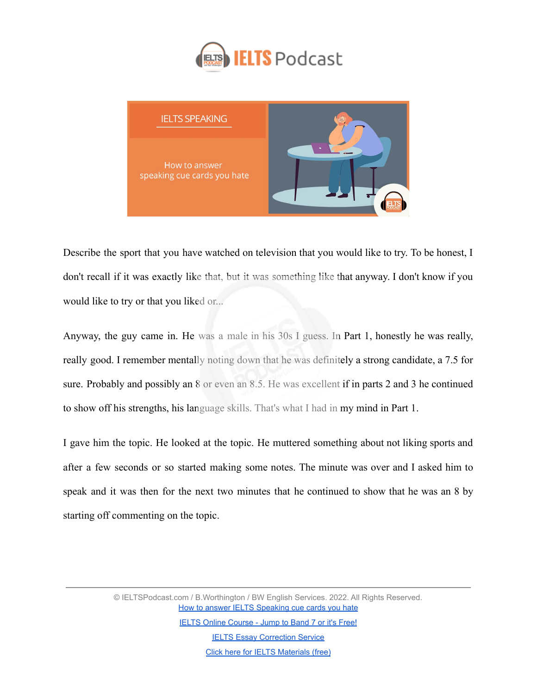



Describe the sport that you have watched on television that you would like to try. To be honest, I don't recall if it was exactly like that, but it was something like that anyway. I don't know if you would like to try or that you liked or...

Anyway, the guy came in. He was a male in his 30s I guess. In Part 1, honestly he was really, really good. I remember mentally noting down that he was definitely a strong candidate, a 7.5 for sure. Probably and possibly an 8 or even an 8.5. He was excellent if in parts 2 and 3 he continued to show off his strengths, his language skills. That's what I had in my mind in Part 1.

I gave him the topic. He looked at the topic. He muttered something about not liking sports and after a few seconds or so started making some notes. The minute was over and I asked him to speak and it was then for the next two minutes that he continued to show that he was an 8 by starting off commenting on the topic.

> © IELTSPodcast.com / B.Worthington / BW English Services. 2022. All Rights Reserved. [How to answer IELTS Speaking cue cards you hate](https://www.ieltspodcast.com/audio-tutorials/answer-speaking-cue-cards-you-hate/?utm_source=blog_transcript&utm_medium=weekly&utm_term=&utm_content=&utm_campaign=post555) [IELTS Online Course - Jump to Band 7 or it's Free!](https://www.ieltspodcast.com/online-ielts-course/?utm_source=blog_transcript&utm_medium=weekly&utm_term=&utm_content=&utm_campaign=post555)

**[IELTS Essay Correction Service](https://www.ieltspodcast.com/essay-correction-service/?utm_source=blog_transcript&utm_medium=weekly&utm_term=&utm_content=&utm_campaign=post555)** [Click here for IELTS Materials \(free\)](https://www.ieltspodcast.com/sign/?utm_source=blog_transcript&utm_medium=weekly&utm_term=&utm_content=&utm_campaign=post555)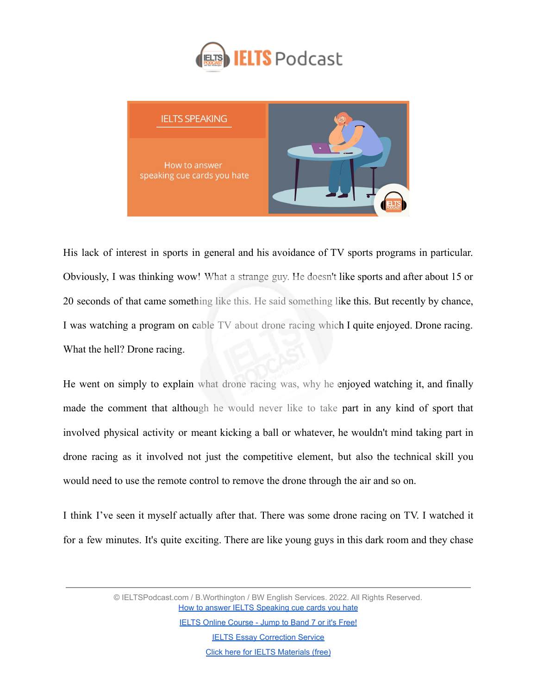



His lack of interest in sports in general and his avoidance of TV sports programs in particular. Obviously, I was thinking wow! What a strange guy. He doesn't like sports and after about 15 or 20 seconds of that came something like this. He said something like this. But recently by chance, I was watching a program on cable TV about drone racing which I quite enjoyed. Drone racing. What the hell? Drone racing.

He went on simply to explain what drone racing was, why he enjoyed watching it, and finally made the comment that although he would never like to take part in any kind of sport that involved physical activity or meant kicking a ball or whatever, he wouldn't mind taking part in drone racing as it involved not just the competitive element, but also the technical skill you would need to use the remote control to remove the drone through the air and so on.

I think I've seen it myself actually after that. There was some drone racing on TV. I watched it for a few minutes. It's quite exciting. There are like young guys in this dark room and they chase

> © IELTSPodcast.com / B.Worthington / BW English Services. 2022. All Rights Reserved. [How to answer IELTS Speaking cue cards you hate](https://www.ieltspodcast.com/audio-tutorials/answer-speaking-cue-cards-you-hate/?utm_source=blog_transcript&utm_medium=weekly&utm_term=&utm_content=&utm_campaign=post555)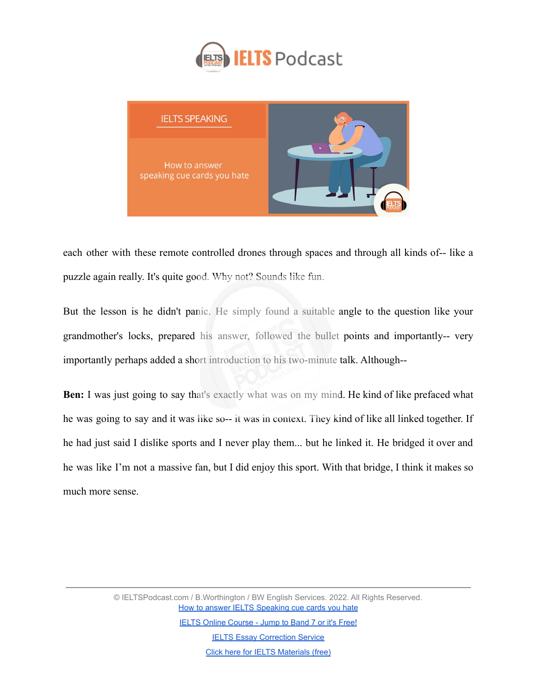



each other with these remote controlled drones through spaces and through all kinds of-- like a puzzle again really. It's quite good. Why not? Sounds like fun.

But the lesson is he didn't panic. He simply found a suitable angle to the question like your grandmother's locks, prepared his answer, followed the bullet points and importantly-- very importantly perhaps added a short introduction to his two-minute talk. Although--

**Ben:** I was just going to say that's exactly what was on my mind. He kind of like prefaced what he was going to say and it was like so-- it was in context. They kind of like all linked together. If he had just said I dislike sports and I never play them... but he linked it. He bridged it over and he was like I'm not a massive fan, but I did enjoy this sport. With that bridge, I think it makes so much more sense.

> © IELTSPodcast.com / B.Worthington / BW English Services. 2022. All Rights Reserved. [How to answer IELTS Speaking cue cards you hate](https://www.ieltspodcast.com/audio-tutorials/answer-speaking-cue-cards-you-hate/?utm_source=blog_transcript&utm_medium=weekly&utm_term=&utm_content=&utm_campaign=post555) [IELTS Online Course - Jump to Band 7 or it's Free!](https://www.ieltspodcast.com/online-ielts-course/?utm_source=blog_transcript&utm_medium=weekly&utm_term=&utm_content=&utm_campaign=post555) **[IELTS Essay Correction Service](https://www.ieltspodcast.com/essay-correction-service/?utm_source=blog_transcript&utm_medium=weekly&utm_term=&utm_content=&utm_campaign=post555)**

> > [Click here for IELTS Materials \(free\)](https://www.ieltspodcast.com/sign/?utm_source=blog_transcript&utm_medium=weekly&utm_term=&utm_content=&utm_campaign=post555)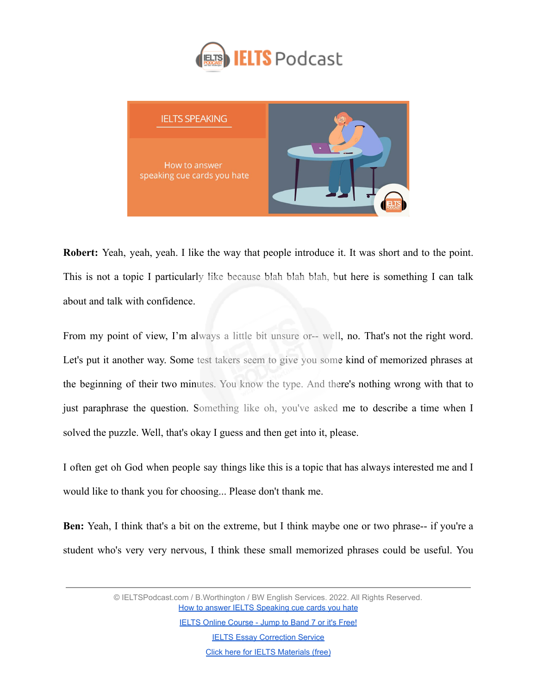



**Robert:** Yeah, yeah, yeah. I like the way that people introduce it. It was short and to the point. This is not a topic I particularly like because blah blah blah, but here is something I can talk about and talk with confidence.

From my point of view, I'm always a little bit unsure or-- well, no. That's not the right word. Let's put it another way. Some test takers seem to give you some kind of memorized phrases at the beginning of their two minutes. You know the type. And there's nothing wrong with that to just paraphrase the question. Something like oh, you've asked me to describe a time when I solved the puzzle. Well, that's okay I guess and then get into it, please.

I often get oh God when people say things like this is a topic that has always interested me and I would like to thank you for choosing... Please don't thank me.

**Ben:** Yeah, I think that's a bit on the extreme, but I think maybe one or two phrase-- if you're a student who's very very nervous, I think these small memorized phrases could be useful. You

> © IELTSPodcast.com / B.Worthington / BW English Services. 2022. All Rights Reserved. [How to answer IELTS Speaking cue cards you hate](https://www.ieltspodcast.com/audio-tutorials/answer-speaking-cue-cards-you-hate/?utm_source=blog_transcript&utm_medium=weekly&utm_term=&utm_content=&utm_campaign=post555)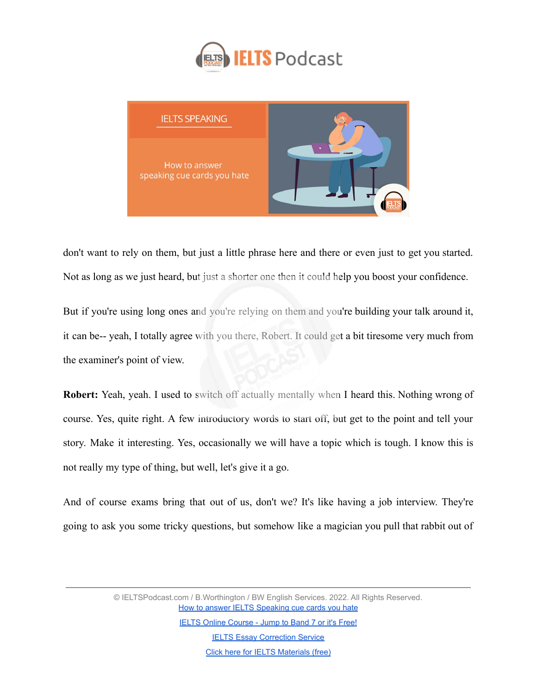



don't want to rely on them, but just a little phrase here and there or even just to get you started. Not as long as we just heard, but just a shorter one then it could help you boost your confidence.

But if you're using long ones and you're relying on them and you're building your talk around it, it can be-- yeah, I totally agree with you there, Robert. It could get a bit tiresome very much from the examiner's point of view.

**Robert:** Yeah, yeah. I used to switch off actually mentally when I heard this. Nothing wrong of course. Yes, quite right. A few introductory words to start off, but get to the point and tell your story. Make it interesting. Yes, occasionally we will have a topic which is tough. I know this is not really my type of thing, but well, let's give it a go.

And of course exams bring that out of us, don't we? It's like having a job interview. They're going to ask you some tricky questions, but somehow like a magician you pull that rabbit out of

> © IELTSPodcast.com / B.Worthington / BW English Services. 2022. All Rights Reserved. [How to answer IELTS Speaking cue cards you hate](https://www.ieltspodcast.com/audio-tutorials/answer-speaking-cue-cards-you-hate/?utm_source=blog_transcript&utm_medium=weekly&utm_term=&utm_content=&utm_campaign=post555)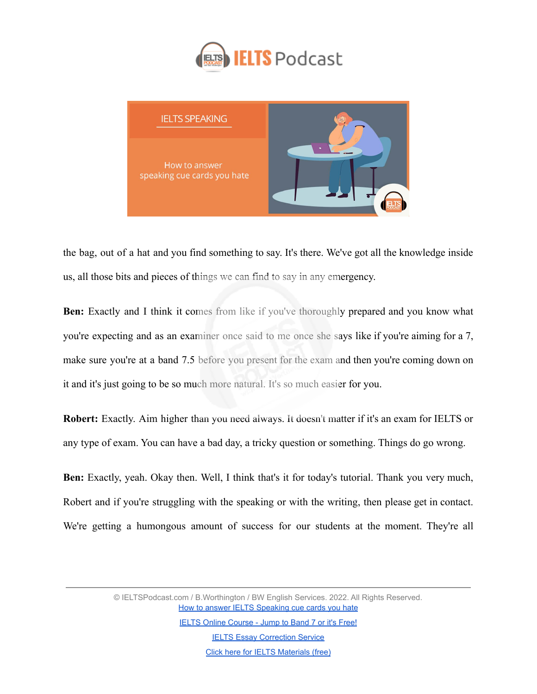



the bag, out of a hat and you find something to say. It's there. We've got all the knowledge inside us, all those bits and pieces of things we can find to say in any emergency.

**Ben:** Exactly and I think it comes from like if you've thoroughly prepared and you know what you're expecting and as an examiner once said to me once she says like if you're aiming for a 7, make sure you're at a band 7.5 before you present for the exam and then you're coming down on it and it's just going to be so much more natural. It's so much easier for you.

**Robert:** Exactly. Aim higher than you need always. It doesn't matter if it's an exam for IELTS or any type of exam. You can have a bad day, a tricky question or something. Things do go wrong.

**Ben:** Exactly, yeah. Okay then. Well, I think that's it for today's tutorial. Thank you very much, Robert and if you're struggling with the speaking or with the writing, then please get in contact. We're getting a humongous amount of success for our students at the moment. They're all

> © IELTSPodcast.com / B.Worthington / BW English Services. 2022. All Rights Reserved. [How to answer IELTS Speaking cue cards you hate](https://www.ieltspodcast.com/audio-tutorials/answer-speaking-cue-cards-you-hate/?utm_source=blog_transcript&utm_medium=weekly&utm_term=&utm_content=&utm_campaign=post555)